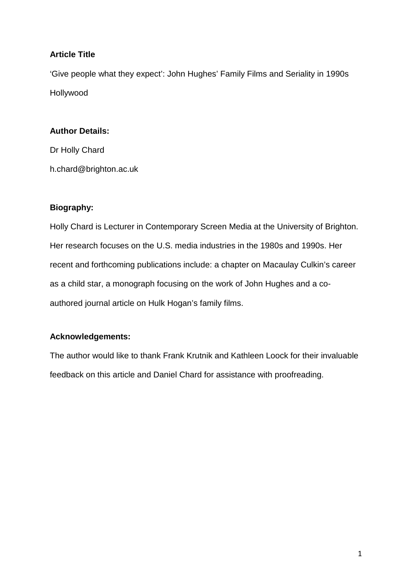# **Article Title**

'Give people what they expect': John Hughes' Family Films and Seriality in 1990s Hollywood

# **Author Details:**

Dr Holly Chard h.chard@brighton.ac.uk

# **Biography:**

Holly Chard is Lecturer in Contemporary Screen Media at the University of Brighton. Her research focuses on the U.S. media industries in the 1980s and 1990s. Her recent and forthcoming publications include: a chapter on Macaulay Culkin's career as a child star, a monograph focusing on the work of John Hughes and a coauthored journal article on Hulk Hogan's family films.

# **Acknowledgements:**

The author would like to thank Frank Krutnik and Kathleen Loock for their invaluable feedback on this article and Daniel Chard for assistance with proofreading.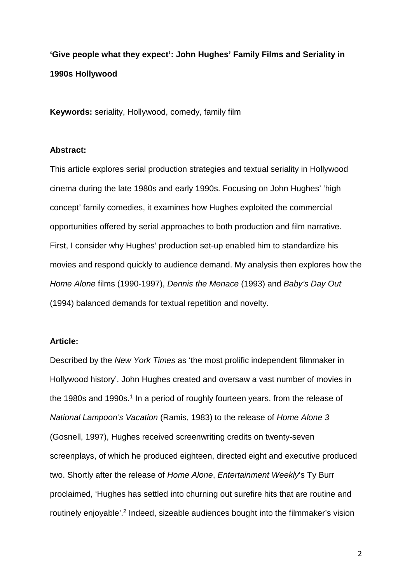**'Give people what they expect': John Hughes' Family Films and Seriality in 1990s Hollywood**

**Keywords:** seriality, Hollywood, comedy, family film

### **Abstract:**

This article explores serial production strategies and textual seriality in Hollywood cinema during the late 1980s and early 1990s. Focusing on John Hughes' 'high concept' family comedies, it examines how Hughes exploited the commercial opportunities offered by serial approaches to both production and film narrative. First, I consider why Hughes' production set-up enabled him to standardize his movies and respond quickly to audience demand. My analysis then explores how the *Home Alone* films (1990-1997), *Dennis the Menace* (1993) and *Baby's Day Out* (1994) balanced demands for textual repetition and novelty.

#### **Article:**

Described by the *New York Times* as 'the most prolific independent filmmaker in Hollywood history', John Hughes created and oversaw a vast number of movies in the 1980s and 1990s.<sup>1</sup> In a period of roughly fourteen years, from the release of *National Lampoon's Vacation* (Ramis, 1983) to the release of *Home Alone 3* (Gosnell, 1997), Hughes received screenwriting credits on twenty-seven screenplays, of which he produced eighteen, directed eight and executive produced two. Shortly after the release of *Home Alone*, *Entertainment Weekly*'s Ty Burr proclaimed, 'Hughes has settled into churning out surefire hits that are routine and routinely enjoyable'.2 Indeed, sizeable audiences bought into the filmmaker's vision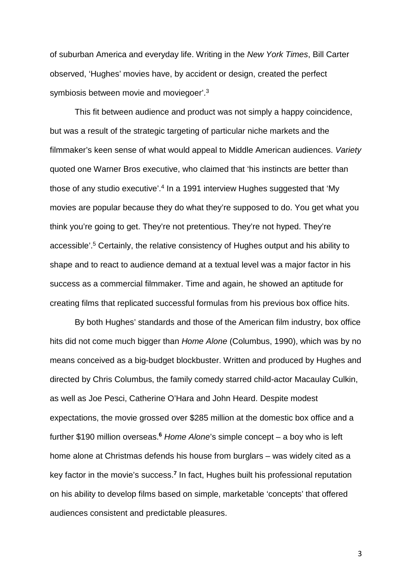of suburban America and everyday life. Writing in the *New York Times*, Bill Carter observed, 'Hughes' movies have, by accident or design, created the perfect symbiosis between movie and moviegoer'.3

This fit between audience and product was not simply a happy coincidence, but was a result of the strategic targeting of particular niche markets and the filmmaker's keen sense of what would appeal to Middle American audiences. *Variety* quoted one Warner Bros executive, who claimed that 'his instincts are better than those of any studio executive'.4 In a 1991 interview Hughes suggested that 'My movies are popular because they do what they're supposed to do. You get what you think you're going to get. They're not pretentious. They're not hyped. They're accessible'.5 Certainly, the relative consistency of Hughes output and his ability to shape and to react to audience demand at a textual level was a major factor in his success as a commercial filmmaker. Time and again, he showed an aptitude for creating films that replicated successful formulas from his previous box office hits.

By both Hughes' standards and those of the American film industry, box office hits did not come much bigger than *Home Alone* (Columbus, 1990), which was by no means conceived as a big-budget blockbuster. Written and produced by Hughes and directed by Chris Columbus, the family comedy starred child-actor Macaulay Culkin, as well as Joe Pesci, Catherine O'Hara and John Heard. Despite modest expectations, the movie grossed over \$285 million at the domestic box office and a further \$190 million overseas.**<sup>6</sup>** *Home Alone*'s simple concept – a boy who is left home alone at Christmas defends his house from burglars – was widely cited as a key factor in the movie's success.**<sup>7</sup>** In fact, Hughes built his professional reputation on his ability to develop films based on simple, marketable 'concepts' that offered audiences consistent and predictable pleasures.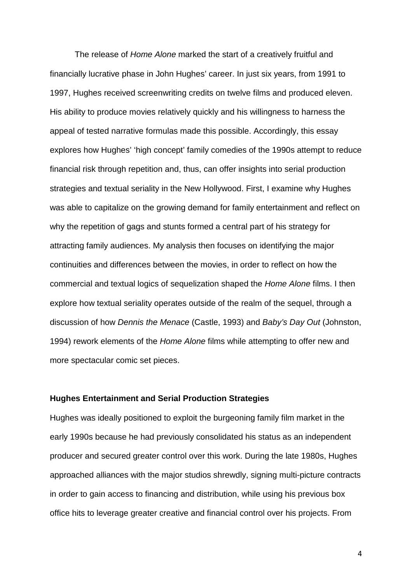The release of *Home Alone* marked the start of a creatively fruitful and financially lucrative phase in John Hughes' career. In just six years, from 1991 to 1997, Hughes received screenwriting credits on twelve films and produced eleven. His ability to produce movies relatively quickly and his willingness to harness the appeal of tested narrative formulas made this possible. Accordingly, this essay explores how Hughes' 'high concept' family comedies of the 1990s attempt to reduce financial risk through repetition and, thus, can offer insights into serial production strategies and textual seriality in the New Hollywood. First, I examine why Hughes was able to capitalize on the growing demand for family entertainment and reflect on why the repetition of gags and stunts formed a central part of his strategy for attracting family audiences. My analysis then focuses on identifying the major continuities and differences between the movies, in order to reflect on how the commercial and textual logics of sequelization shaped the *Home Alone* films. I then explore how textual seriality operates outside of the realm of the sequel, through a discussion of how *Dennis the Menace* (Castle, 1993) and *Baby's Day Out* (Johnston, 1994) rework elements of the *Home Alone* films while attempting to offer new and more spectacular comic set pieces.

### **Hughes Entertainment and Serial Production Strategies**

Hughes was ideally positioned to exploit the burgeoning family film market in the early 1990s because he had previously consolidated his status as an independent producer and secured greater control over this work. During the late 1980s, Hughes approached alliances with the major studios shrewdly, signing multi-picture contracts in order to gain access to financing and distribution, while using his previous box office hits to leverage greater creative and financial control over his projects. From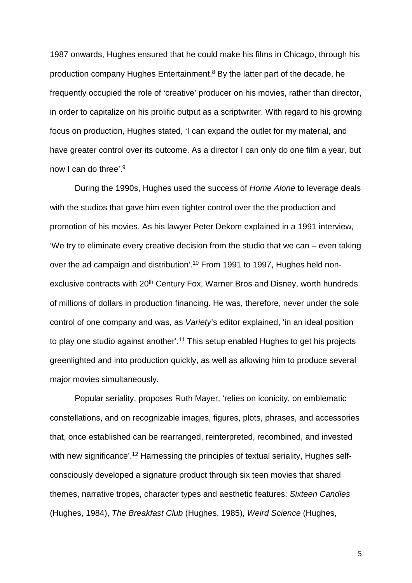1987 onwards, Hughes ensured that he could make his films in Chicago, through his production company Hughes Entertainment. <sup>8</sup> By the latter part of the decade, he frequently occupied the role of 'creative' producer on his movies, rather than director, in order to capitalize on his prolific output as a scriptwriter. With regard to his growing focus on production, Hughes stated, 'I can expand the outlet for my material, and have greater control over its outcome. As a director I can only do one film a year, but now I can do three'.9

During the 1990s, Hughes used the success of *Home Alone* to leverage deals with the studios that gave him even tighter control over the the production and promotion of his movies. As his lawyer Peter Dekom explained in a 1991 interview, 'We try to eliminate every creative decision from the studio that we can – even taking over the ad campaign and distribution'.10 From 1991 to 1997, Hughes held nonexclusive contracts with 20<sup>th</sup> Century Fox, Warner Bros and Disney, worth hundreds of millions of dollars in production financing. He was, therefore, never under the sole control of one company and was, as *Variety*'s editor explained, 'in an ideal position to play one studio against another'. <sup>11</sup> This setup enabled Hughes to get his projects greenlighted and into production quickly, as well as allowing him to produce several major movies simultaneously.

Popular seriality, proposes Ruth Mayer, 'relies on iconicity, on emblematic constellations, and on recognizable images, figures, plots, phrases, and accessories that, once established can be rearranged, reinterpreted, recombined, and invested with new significance'.<sup>12</sup> Harnessing the principles of textual seriality, Hughes selfconsciously developed a signature product through six teen movies that shared themes, narrative tropes, character types and aesthetic features: *Sixteen Candles* (Hughes, 1984), *The Breakfast Club* (Hughes, 1985), *Weird Science* (Hughes,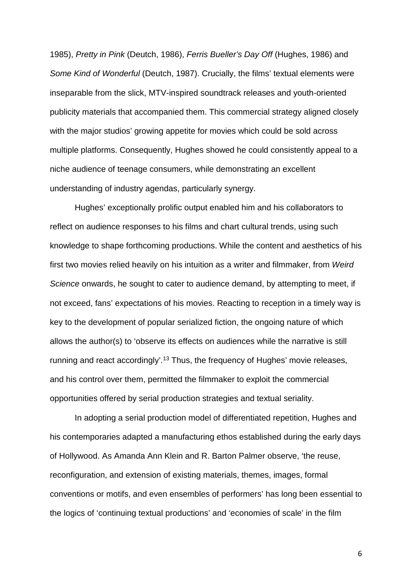1985), *Pretty in Pink* (Deutch, 1986), *Ferris Bueller's Day Off* (Hughes, 1986) and *Some Kind of Wonderful* (Deutch, 1987). Crucially, the films' textual elements were inseparable from the slick, MTV-inspired soundtrack releases and youth-oriented publicity materials that accompanied them. This commercial strategy aligned closely with the major studios' growing appetite for movies which could be sold across multiple platforms. Consequently, Hughes showed he could consistently appeal to a niche audience of teenage consumers, while demonstrating an excellent understanding of industry agendas, particularly synergy.

Hughes' exceptionally prolific output enabled him and his collaborators to reflect on audience responses to his films and chart cultural trends, using such knowledge to shape forthcoming productions. While the content and aesthetics of his first two movies relied heavily on his intuition as a writer and filmmaker, from *Weird Science* onwards, he sought to cater to audience demand, by attempting to meet, if not exceed, fans' expectations of his movies. Reacting to reception in a timely way is key to the development of popular serialized fiction, the ongoing nature of which allows the author(s) to 'observe its effects on audiences while the narrative is still running and react accordingly'.<sup>13</sup> Thus, the frequency of Hughes' movie releases, and his control over them, permitted the filmmaker to exploit the commercial opportunities offered by serial production strategies and textual seriality.

In adopting a serial production model of differentiated repetition, Hughes and his contemporaries adapted a manufacturing ethos established during the early days of Hollywood. As Amanda Ann Klein and R. Barton Palmer observe, 'the reuse, reconfiguration, and extension of existing materials, themes, images, formal conventions or motifs, and even ensembles of performers' has long been essential to the logics of 'continuing textual productions' and 'economies of scale' in the film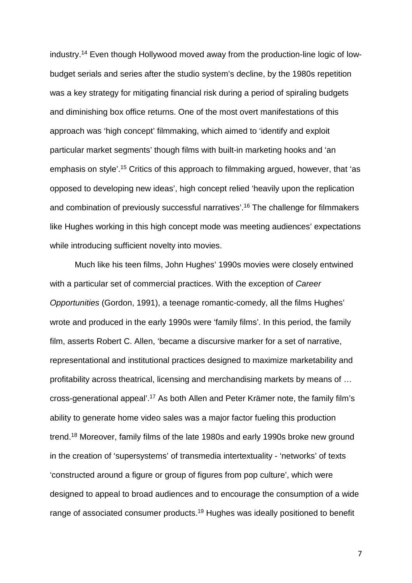industry.14 Even though Hollywood moved away from the production-line logic of lowbudget serials and series after the studio system's decline, by the 1980s repetition was a key strategy for mitigating financial risk during a period of spiraling budgets and diminishing box office returns. One of the most overt manifestations of this approach was 'high concept' filmmaking, which aimed to 'identify and exploit particular market segments' though films with built-in marketing hooks and 'an emphasis on style'.15 Critics of this approach to filmmaking argued, however, that 'as opposed to developing new ideas', high concept relied 'heavily upon the replication and combination of previously successful narratives'.16 The challenge for filmmakers like Hughes working in this high concept mode was meeting audiences' expectations while introducing sufficient novelty into movies.

Much like his teen films, John Hughes' 1990s movies were closely entwined with a particular set of commercial practices. With the exception of *Career Opportunities* (Gordon, 1991), a teenage romantic-comedy, all the films Hughes' wrote and produced in the early 1990s were 'family films'. In this period, the family film, asserts Robert C. Allen, 'became a discursive marker for a set of narrative, representational and institutional practices designed to maximize marketability and profitability across theatrical, licensing and merchandising markets by means of … cross-generational appeal'.17 As both Allen and Peter Krämer note, the family film's ability to generate home video sales was a major factor fueling this production trend.18 Moreover, family films of the late 1980s and early 1990s broke new ground in the creation of 'supersystems' of transmedia intertextuality - 'networks' of texts 'constructed around a figure or group of figures from pop culture', which were designed to appeal to broad audiences and to encourage the consumption of a wide range of associated consumer products.<sup>19</sup> Hughes was ideally positioned to benefit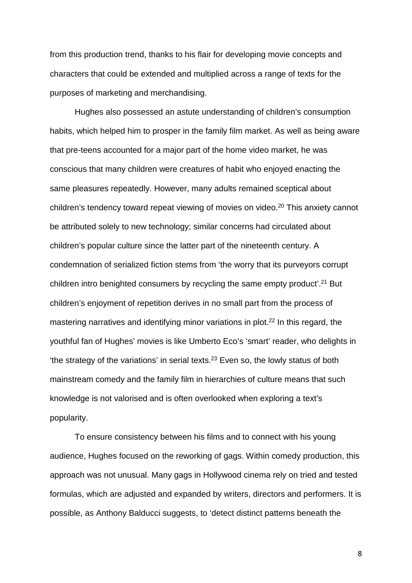from this production trend, thanks to his flair for developing movie concepts and characters that could be extended and multiplied across a range of texts for the purposes of marketing and merchandising.

Hughes also possessed an astute understanding of children's consumption habits, which helped him to prosper in the family film market. As well as being aware that pre-teens accounted for a major part of the home video market, he was conscious that many children were creatures of habit who enjoyed enacting the same pleasures repeatedly. However, many adults remained sceptical about children's tendency toward repeat viewing of movies on video. <sup>20</sup> This anxiety cannot be attributed solely to new technology; similar concerns had circulated about children's popular culture since the latter part of the nineteenth century. A condemnation of serialized fiction stems from 'the worry that its purveyors corrupt children intro benighted consumers by recycling the same empty product'.<sup>21</sup> But children's enjoyment of repetition derives in no small part from the process of mastering narratives and identifying minor variations in plot.<sup>22</sup> In this regard, the youthful fan of Hughes' movies is like Umberto Eco's 'smart' reader, who delights in 'the strategy of the variations' in serial texts.23 Even so, the lowly status of both mainstream comedy and the family film in hierarchies of culture means that such knowledge is not valorised and is often overlooked when exploring a text's popularity.

To ensure consistency between his films and to connect with his young audience, Hughes focused on the reworking of gags. Within comedy production, this approach was not unusual. Many gags in Hollywood cinema rely on tried and tested formulas, which are adjusted and expanded by writers, directors and performers. It is possible, as Anthony Balducci suggests, to 'detect distinct patterns beneath the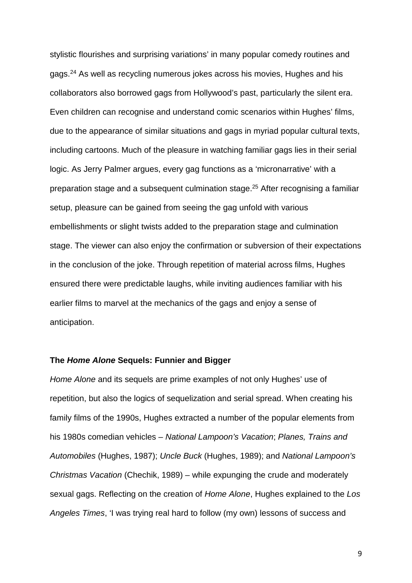stylistic flourishes and surprising variations' in many popular comedy routines and gags.24 As well as recycling numerous jokes across his movies, Hughes and his collaborators also borrowed gags from Hollywood's past, particularly the silent era. Even children can recognise and understand comic scenarios within Hughes' films, due to the appearance of similar situations and gags in myriad popular cultural texts, including cartoons. Much of the pleasure in watching familiar gags lies in their serial logic. As Jerry Palmer argues, every gag functions as a 'micronarrative' with a preparation stage and a subsequent culmination stage.25 After recognising a familiar setup, pleasure can be gained from seeing the gag unfold with various embellishments or slight twists added to the preparation stage and culmination stage. The viewer can also enjoy the confirmation or subversion of their expectations in the conclusion of the joke. Through repetition of material across films, Hughes ensured there were predictable laughs, while inviting audiences familiar with his earlier films to marvel at the mechanics of the gags and enjoy a sense of anticipation.

### **The** *Home Alone* **Sequels: Funnier and Bigger**

*Home Alone* and its sequels are prime examples of not only Hughes' use of repetition, but also the logics of sequelization and serial spread. When creating his family films of the 1990s, Hughes extracted a number of the popular elements from his 1980s comedian vehicles – *National Lampoon's Vacation*; *Planes, Trains and Automobiles* (Hughes, 1987); *Uncle Buck* (Hughes, 1989); and *National Lampoon's Christmas Vacation* (Chechik, 1989) – while expunging the crude and moderately sexual gags. Reflecting on the creation of *Home Alone*, Hughes explained to the *Los Angeles Times*, 'I was trying real hard to follow (my own) lessons of success and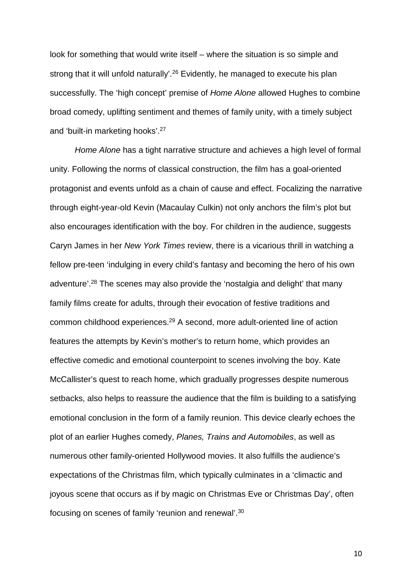look for something that would write itself – where the situation is so simple and strong that it will unfold naturally'. <sup>26</sup> Evidently, he managed to execute his plan successfully. The 'high concept' premise of *Home Alone* allowed Hughes to combine broad comedy, uplifting sentiment and themes of family unity, with a timely subject and 'built-in marketing hooks'.27

*Home Alone* has a tight narrative structure and achieves a high level of formal unity. Following the norms of classical construction, the film has a goal-oriented protagonist and events unfold as a chain of cause and effect. Focalizing the narrative through eight-year-old Kevin (Macaulay Culkin) not only anchors the film's plot but also encourages identification with the boy. For children in the audience, suggests Caryn James in her *New York Times* review, there is a vicarious thrill in watching a fellow pre-teen 'indulging in every child's fantasy and becoming the hero of his own adventure'. <sup>28</sup> The scenes may also provide the 'nostalgia and delight' that many family films create for adults, through their evocation of festive traditions and common childhood experiences.29 A second, more adult-oriented line of action features the attempts by Kevin's mother's to return home, which provides an effective comedic and emotional counterpoint to scenes involving the boy. Kate McCallister's quest to reach home, which gradually progresses despite numerous setbacks, also helps to reassure the audience that the film is building to a satisfying emotional conclusion in the form of a family reunion. This device clearly echoes the plot of an earlier Hughes comedy, *Planes, Trains and Automobiles*, as well as numerous other family-oriented Hollywood movies. It also fulfills the audience's expectations of the Christmas film, which typically culminates in a 'climactic and joyous scene that occurs as if by magic on Christmas Eve or Christmas Day', often focusing on scenes of family 'reunion and renewal'.30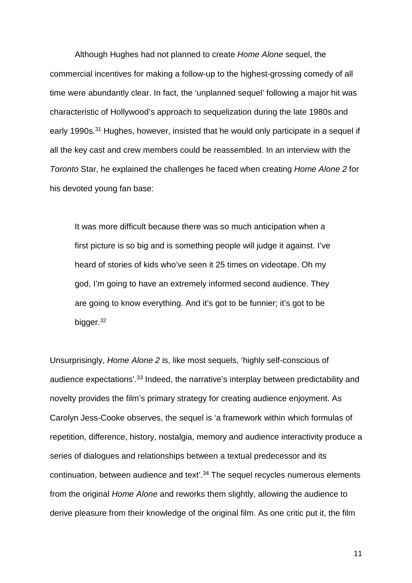Although Hughes had not planned to create *Home Alone* sequel, the commercial incentives for making a follow-up to the highest-grossing comedy of all time were abundantly clear. In fact, the 'unplanned sequel' following a major hit was characteristic of Hollywood's approach to sequelization during the late 1980s and early 1990s.<sup>31</sup> Hughes, however, insisted that he would only participate in a sequel if all the key cast and crew members could be reassembled. In an interview with the *Toronto* Star, he explained the challenges he faced when creating *Home Alone 2* for his devoted young fan base:

It was more difficult because there was so much anticipation when a first picture is so big and is something people will judge it against. I've heard of stories of kids who've seen it 25 times on videotape. Oh my god, I'm going to have an extremely informed second audience. They are going to know everything. And it's got to be funnier; it's got to be bigger.<sup>32</sup>

Unsurprisingly, *Home Alone 2* is, like most sequels, 'highly self-conscious of audience expectations'.33 Indeed, the narrative's interplay between predictability and novelty provides the film's primary strategy for creating audience enjoyment. As Carolyn Jess-Cooke observes, the sequel is 'a framework within which formulas of repetition, difference, history, nostalgia, memory and audience interactivity produce a series of dialogues and relationships between a textual predecessor and its continuation, between audience and text'. <sup>34</sup> The sequel recycles numerous elements from the original *Home Alone* and reworks them slightly, allowing the audience to derive pleasure from their knowledge of the original film. As one critic put it, the film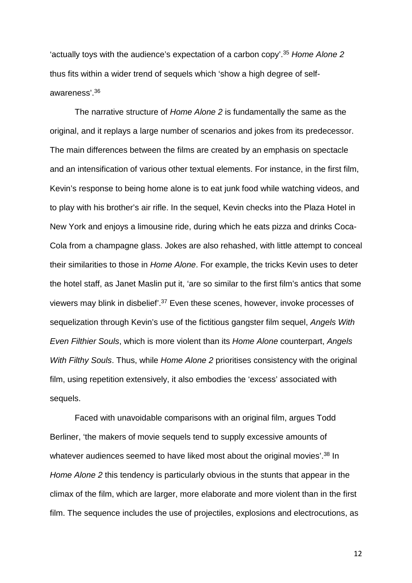'actually toys with the audience's expectation of a carbon copy'. <sup>35</sup> *Home Alone 2* thus fits within a wider trend of sequels which 'show a high degree of selfawareness'. 36

The narrative structure of *Home Alone 2* is fundamentally the same as the original, and it replays a large number of scenarios and jokes from its predecessor. The main differences between the films are created by an emphasis on spectacle and an intensification of various other textual elements. For instance, in the first film, Kevin's response to being home alone is to eat junk food while watching videos, and to play with his brother's air rifle. In the sequel, Kevin checks into the Plaza Hotel in New York and enjoys a limousine ride, during which he eats pizza and drinks Coca-Cola from a champagne glass. Jokes are also rehashed, with little attempt to conceal their similarities to those in *Home Alone*. For example, the tricks Kevin uses to deter the hotel staff, as Janet Maslin put it, 'are so similar to the first film's antics that some viewers may blink in disbelief'.37 Even these scenes, however, invoke processes of sequelization through Kevin's use of the fictitious gangster film sequel, *Angels With Even Filthier Souls*, which is more violent than its *Home Alone* counterpart, *Angels With Filthy Souls*. Thus, while *Home Alone 2* prioritises consistency with the original film, using repetition extensively, it also embodies the 'excess' associated with sequels.

Faced with unavoidable comparisons with an original film, argues Todd Berliner, 'the makers of movie sequels tend to supply excessive amounts of whatever audiences seemed to have liked most about the original movies'. <sup>38</sup> In *Home Alone 2* this tendency is particularly obvious in the stunts that appear in the climax of the film, which are larger, more elaborate and more violent than in the first film. The sequence includes the use of projectiles, explosions and electrocutions, as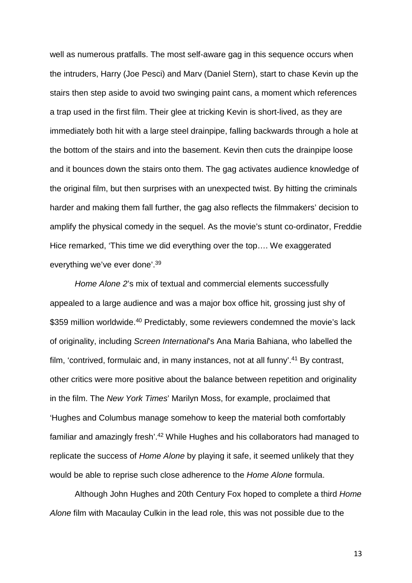well as numerous pratfalls. The most self-aware gag in this sequence occurs when the intruders, Harry (Joe Pesci) and Marv (Daniel Stern), start to chase Kevin up the stairs then step aside to avoid two swinging paint cans, a moment which references a trap used in the first film. Their glee at tricking Kevin is short-lived, as they are immediately both hit with a large steel drainpipe, falling backwards through a hole at the bottom of the stairs and into the basement. Kevin then cuts the drainpipe loose and it bounces down the stairs onto them. The gag activates audience knowledge of the original film, but then surprises with an unexpected twist. By hitting the criminals harder and making them fall further, the gag also reflects the filmmakers' decision to amplify the physical comedy in the sequel. As the movie's stunt co-ordinator, Freddie Hice remarked, 'This time we did everything over the top…. We exaggerated everything we've ever done'.39

*Home Alone 2*'s mix of textual and commercial elements successfully appealed to a large audience and was a major box office hit, grossing just shy of \$359 million worldwide. <sup>40</sup> Predictably, some reviewers condemned the movie's lack of originality, including *Screen International*'s Ana Maria Bahiana, who labelled the film, 'contrived, formulaic and, in many instances, not at all funny'.<sup>41</sup> By contrast, other critics were more positive about the balance between repetition and originality in the film. The *New York Times*' Marilyn Moss, for example, proclaimed that 'Hughes and Columbus manage somehow to keep the material both comfortably familiar and amazingly fresh'.<sup>42</sup> While Hughes and his collaborators had managed to replicate the success of *Home Alone* by playing it safe, it seemed unlikely that they would be able to reprise such close adherence to the *Home Alone* formula.

Although John Hughes and 20th Century Fox hoped to complete a third *Home Alone* film with Macaulay Culkin in the lead role, this was not possible due to the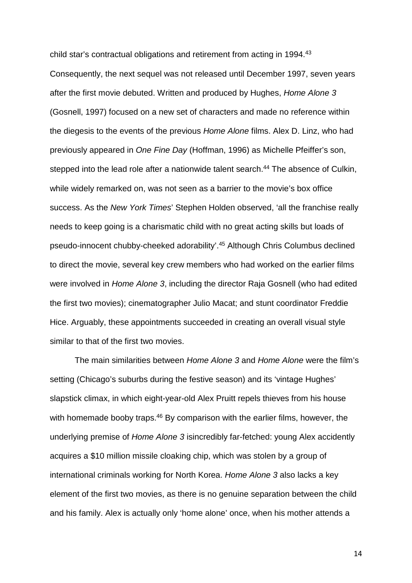child star's contractual obligations and retirement from acting in 1994. 43 Consequently, the next sequel was not released until December 1997, seven years after the first movie debuted. Written and produced by Hughes, *Home Alone 3* (Gosnell, 1997) focused on a new set of characters and made no reference within the diegesis to the events of the previous *Home Alone* films. Alex D. Linz, who had previously appeared in *One Fine Day* (Hoffman, 1996) as Michelle Pfeiffer's son, stepped into the lead role after a nationwide talent search.<sup>44</sup> The absence of Culkin, while widely remarked on, was not seen as a barrier to the movie's box office success. As the *New York Times*' Stephen Holden observed, 'all the franchise really needs to keep going is a charismatic child with no great acting skills but loads of pseudo-innocent chubby-cheeked adorability'.45 Although Chris Columbus declined to direct the movie, several key crew members who had worked on the earlier films were involved in *Home Alone 3*, including the director Raja Gosnell (who had edited the first two movies); cinematographer Julio Macat; and stunt coordinator Freddie Hice. Arguably, these appointments succeeded in creating an overall visual style similar to that of the first two movies.

The main similarities between *Home Alone 3* and *Home Alone* were the film's setting (Chicago's suburbs during the festive season) and its 'vintage Hughes' slapstick climax, in which eight-year-old Alex Pruitt repels thieves from his house with homemade booby traps.<sup>46</sup> By comparison with the earlier films, however, the underlying premise of *Home Alone 3* isincredibly far-fetched: young Alex accidently acquires a \$10 million missile cloaking chip, which was stolen by a group of international criminals working for North Korea. *Home Alone 3* also lacks a key element of the first two movies, as there is no genuine separation between the child and his family. Alex is actually only 'home alone' once, when his mother attends a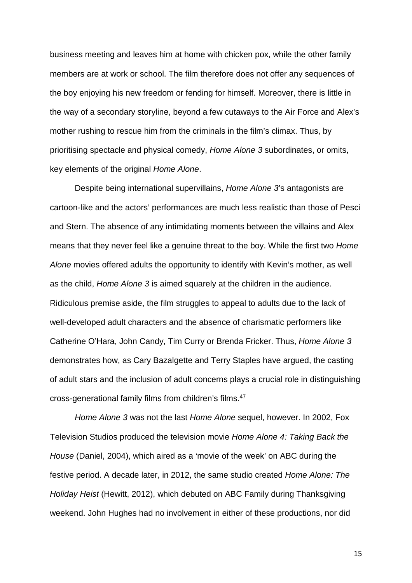business meeting and leaves him at home with chicken pox, while the other family members are at work or school. The film therefore does not offer any sequences of the boy enjoying his new freedom or fending for himself. Moreover, there is little in the way of a secondary storyline, beyond a few cutaways to the Air Force and Alex's mother rushing to rescue him from the criminals in the film's climax. Thus, by prioritising spectacle and physical comedy, *Home Alone 3* subordinates, or omits, key elements of the original *Home Alone*.

Despite being international supervillains, *Home Alone 3*'s antagonists are cartoon-like and the actors' performances are much less realistic than those of Pesci and Stern. The absence of any intimidating moments between the villains and Alex means that they never feel like a genuine threat to the boy. While the first two *Home Alone* movies offered adults the opportunity to identify with Kevin's mother, as well as the child, *Home Alone 3* is aimed squarely at the children in the audience. Ridiculous premise aside, the film struggles to appeal to adults due to the lack of well-developed adult characters and the absence of charismatic performers like Catherine O'Hara, John Candy, Tim Curry or Brenda Fricker. Thus, *Home Alone 3* demonstrates how, as Cary Bazalgette and Terry Staples have argued, the casting of adult stars and the inclusion of adult concerns plays a crucial role in distinguishing cross-generational family films from children's films. 47

*Home Alone 3* was not the last *Home Alone* sequel, however. In 2002, Fox Television Studios produced the television movie *Home Alone 4: Taking Back the House* (Daniel, 2004), which aired as a 'movie of the week' on ABC during the festive period. A decade later, in 2012, the same studio created *Home Alone: The Holiday Heist* (Hewitt, 2012), which debuted on ABC Family during Thanksgiving weekend. John Hughes had no involvement in either of these productions, nor did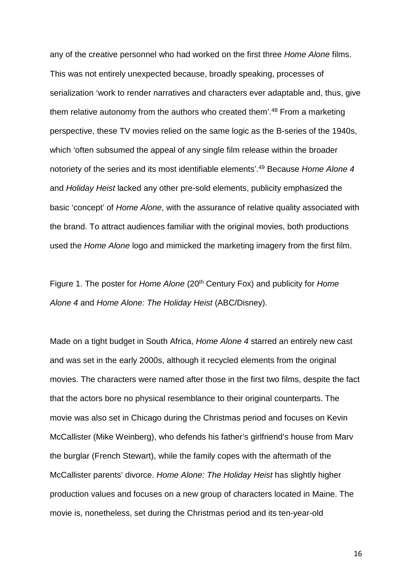any of the creative personnel who had worked on the first three *Home Alone* films. This was not entirely unexpected because, broadly speaking, processes of serialization 'work to render narratives and characters ever adaptable and, thus, give them relative autonomy from the authors who created them'.<sup>48</sup> From a marketing perspective, these TV movies relied on the same logic as the B-series of the 1940s, which 'often subsumed the appeal of any single film release within the broader notoriety of the series and its most identifiable elements'.49 Because *Home Alone 4*  and *Holiday Heist* lacked any other pre-sold elements, publicity emphasized the basic 'concept' of *Home Alone*, with the assurance of relative quality associated with the brand. To attract audiences familiar with the original movies, both productions used the *Home Alone* logo and mimicked the marketing imagery from the first film.

Figure 1. The poster for *Home Alone* (20th Century Fox) and publicity for *Home Alone 4* and *Home Alone: The Holiday Heist* (ABC/Disney).

Made on a tight budget in South Africa, *Home Alone 4* starred an entirely new cast and was set in the early 2000s, although it recycled elements from the original movies. The characters were named after those in the first two films, despite the fact that the actors bore no physical resemblance to their original counterparts. The movie was also set in Chicago during the Christmas period and focuses on Kevin McCallister (Mike Weinberg), who defends his father's girlfriend's house from Marv the burglar (French Stewart), while the family copes with the aftermath of the McCallister parents' divorce. *Home Alone: The Holiday Heist* has slightly higher production values and focuses on a new group of characters located in Maine. The movie is, nonetheless, set during the Christmas period and its ten-year-old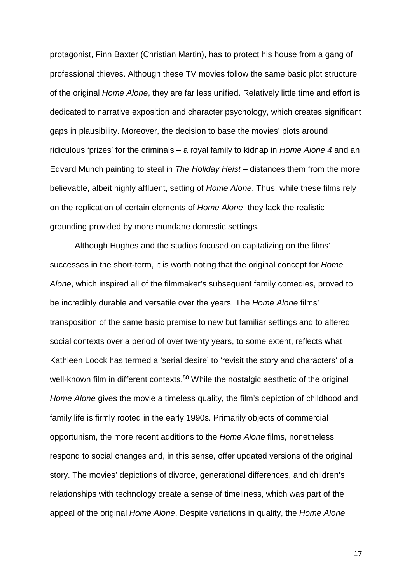protagonist, Finn Baxter (Christian Martin), has to protect his house from a gang of professional thieves. Although these TV movies follow the same basic plot structure of the original *Home Alone*, they are far less unified. Relatively little time and effort is dedicated to narrative exposition and character psychology, which creates significant gaps in plausibility. Moreover, the decision to base the movies' plots around ridiculous 'prizes' for the criminals – a royal family to kidnap in *Home Alone 4* and an Edvard Munch painting to steal in *The Holiday Heist* – distances them from the more believable, albeit highly affluent, setting of *Home Alone*. Thus, while these films rely on the replication of certain elements of *Home Alone*, they lack the realistic grounding provided by more mundane domestic settings.

Although Hughes and the studios focused on capitalizing on the films' successes in the short-term, it is worth noting that the original concept for *Home Alone*, which inspired all of the filmmaker's subsequent family comedies, proved to be incredibly durable and versatile over the years. The *Home Alone* films' transposition of the same basic premise to new but familiar settings and to altered social contexts over a period of over twenty years, to some extent, reflects what Kathleen Loock has termed a 'serial desire' to 'revisit the story and characters' of a well-known film in different contexts.<sup>50</sup> While the nostalgic aesthetic of the original *Home Alone* gives the movie a timeless quality, the film's depiction of childhood and family life is firmly rooted in the early 1990s. Primarily objects of commercial opportunism, the more recent additions to the *Home Alone* films, nonetheless respond to social changes and, in this sense, offer updated versions of the original story. The movies' depictions of divorce, generational differences, and children's relationships with technology create a sense of timeliness, which was part of the appeal of the original *Home Alone*. Despite variations in quality, the *Home Alone*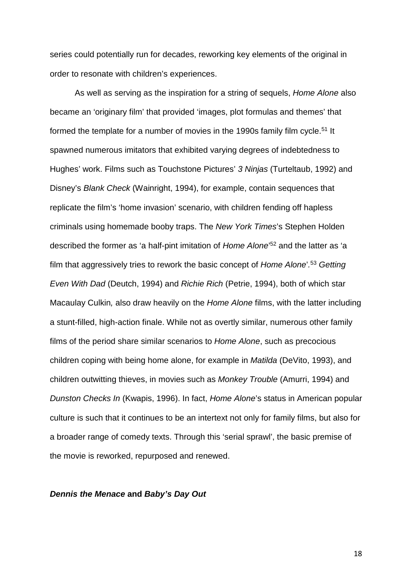series could potentially run for decades, reworking key elements of the original in order to resonate with children's experiences.

As well as serving as the inspiration for a string of sequels, *Home Alone* also became an 'originary film' that provided 'images, plot formulas and themes' that formed the template for a number of movies in the 1990s family film cycle.<sup>51</sup> It spawned numerous imitators that exhibited varying degrees of indebtedness to Hughes' work. Films such as Touchstone Pictures' *3 Ninjas* (Turteltaub, 1992) and Disney's *Blank Check* (Wainright, 1994), for example, contain sequences that replicate the film's 'home invasion' scenario, with children fending off hapless criminals using homemade booby traps. The *New York Times*'s Stephen Holden described the former as 'a half-pint imitation of *Home Alone*' <sup>52</sup> and the latter as 'a film that aggressively tries to rework the basic concept of *Home Alone*'*.* <sup>53</sup> *Getting Even With Dad* (Deutch, 1994) and *Richie Rich* (Petrie, 1994), both of which star Macaulay Culkin*,* also draw heavily on the *Home Alone* films, with the latter including a stunt-filled, high-action finale. While not as overtly similar, numerous other family films of the period share similar scenarios to *Home Alone*, such as precocious children coping with being home alone, for example in *Matilda* (DeVito, 1993), and children outwitting thieves, in movies such as *Monkey Trouble* (Amurri, 1994) and *Dunston Checks In* (Kwapis, 1996). In fact, *Home Alone*'s status in American popular culture is such that it continues to be an intertext not only for family films, but also for a broader range of comedy texts. Through this 'serial sprawl', the basic premise of the movie is reworked, repurposed and renewed.

#### *Dennis the Menace* **and** *Baby's Day Out*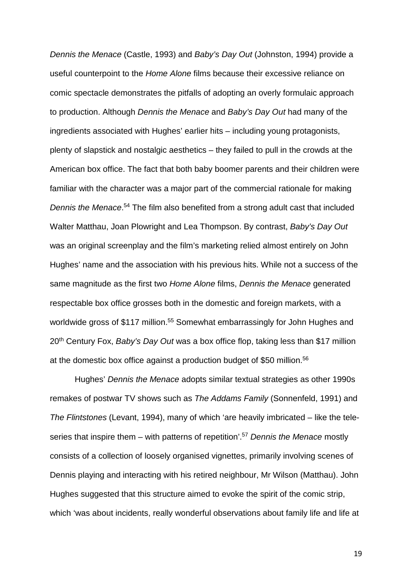*Dennis the Menace* (Castle, 1993) and *Baby's Day Out* (Johnston, 1994) provide a useful counterpoint to the *Home Alone* films because their excessive reliance on comic spectacle demonstrates the pitfalls of adopting an overly formulaic approach to production. Although *Dennis the Menace* and *Baby's Day Out* had many of the ingredients associated with Hughes' earlier hits – including young protagonists, plenty of slapstick and nostalgic aesthetics – they failed to pull in the crowds at the American box office. The fact that both baby boomer parents and their children were familiar with the character was a major part of the commercial rationale for making *Dennis the Menace*. <sup>54</sup> The film also benefited from a strong adult cast that included Walter Matthau, Joan Plowright and Lea Thompson. By contrast, *Baby's Day Out*  was an original screenplay and the film's marketing relied almost entirely on John Hughes' name and the association with his previous hits. While not a success of the same magnitude as the first two *Home Alone* films, *Dennis the Menace* generated respectable box office grosses both in the domestic and foreign markets, with a worldwide gross of \$117 million.<sup>55</sup> Somewhat embarrassingly for John Hughes and 20th Century Fox, *Baby's Day Out* was a box office flop, taking less than \$17 million at the domestic box office against a production budget of \$50 million.56

Hughes' *Dennis the Menace* adopts similar textual strategies as other 1990s remakes of postwar TV shows such as *The Addams Family* (Sonnenfeld, 1991) and *The Flintstones* (Levant, 1994), many of which 'are heavily imbricated – like the teleseries that inspire them – with patterns of repetition'.57 *Dennis the Menace* mostly consists of a collection of loosely organised vignettes, primarily involving scenes of Dennis playing and interacting with his retired neighbour, Mr Wilson (Matthau). John Hughes suggested that this structure aimed to evoke the spirit of the comic strip, which 'was about incidents, really wonderful observations about family life and life at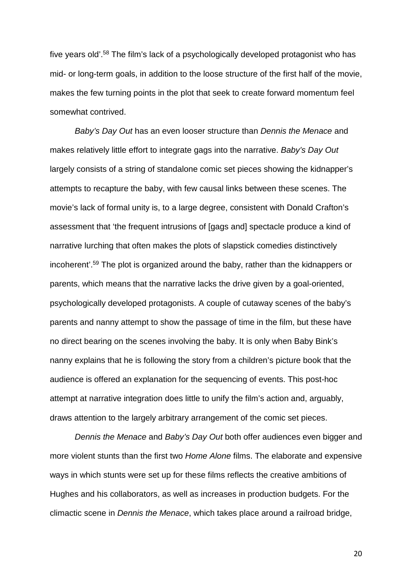five years old'.58 The film's lack of a psychologically developed protagonist who has mid- or long-term goals, in addition to the loose structure of the first half of the movie, makes the few turning points in the plot that seek to create forward momentum feel somewhat contrived.

*Baby's Day Out* has an even looser structure than *Dennis the Menace* and makes relatively little effort to integrate gags into the narrative. *Baby's Day Out* largely consists of a string of standalone comic set pieces showing the kidnapper's attempts to recapture the baby, with few causal links between these scenes. The movie's lack of formal unity is, to a large degree, consistent with Donald Crafton's assessment that 'the frequent intrusions of [gags and] spectacle produce a kind of narrative lurching that often makes the plots of slapstick comedies distinctively incoherent'.59 The plot is organized around the baby, rather than the kidnappers or parents, which means that the narrative lacks the drive given by a goal-oriented, psychologically developed protagonists. A couple of cutaway scenes of the baby's parents and nanny attempt to show the passage of time in the film, but these have no direct bearing on the scenes involving the baby. It is only when Baby Bink's nanny explains that he is following the story from a children's picture book that the audience is offered an explanation for the sequencing of events. This post-hoc attempt at narrative integration does little to unify the film's action and, arguably, draws attention to the largely arbitrary arrangement of the comic set pieces.

*Dennis the Menace* and *Baby's Day Out* both offer audiences even bigger and more violent stunts than the first two *Home Alone* films. The elaborate and expensive ways in which stunts were set up for these films reflects the creative ambitions of Hughes and his collaborators, as well as increases in production budgets. For the climactic scene in *Dennis the Menace*, which takes place around a railroad bridge,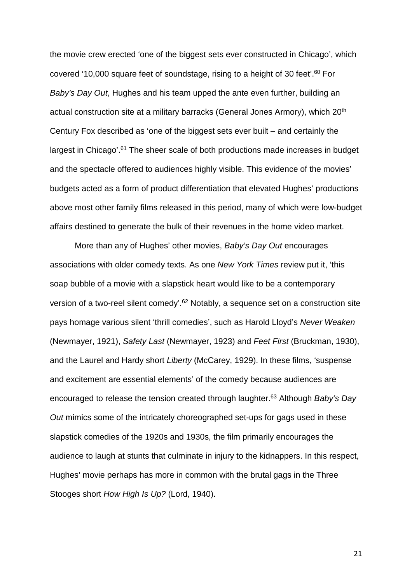the movie crew erected 'one of the biggest sets ever constructed in Chicago', which covered '10,000 square feet of soundstage, rising to a height of 30 feet'.60 For *Baby's Day Out*, Hughes and his team upped the ante even further, building an actual construction site at a military barracks (General Jones Armory), which 20<sup>th</sup> Century Fox described as 'one of the biggest sets ever built – and certainly the largest in Chicago'.<sup>61</sup> The sheer scale of both productions made increases in budget and the spectacle offered to audiences highly visible. This evidence of the movies' budgets acted as a form of product differentiation that elevated Hughes' productions above most other family films released in this period, many of which were low-budget affairs destined to generate the bulk of their revenues in the home video market.

More than any of Hughes' other movies, *Baby's Day Out* encourages associations with older comedy texts. As one *New York Times* review put it, 'this soap bubble of a movie with a slapstick heart would like to be a contemporary version of a two-reel silent comedy'.<sup>62</sup> Notably, a sequence set on a construction site pays homage various silent 'thrill comedies', such as Harold Lloyd's *Never Weaken* (Newmayer, 1921), *Safety Last* (Newmayer, 1923) and *Feet First* (Bruckman, 1930), and the Laurel and Hardy short *Liberty* (McCarey, 1929). In these films, 'suspense and excitement are essential elements' of the comedy because audiences are encouraged to release the tension created through laughter.63 Although *Baby's Day Out* mimics some of the intricately choreographed set-ups for gags used in these slapstick comedies of the 1920s and 1930s, the film primarily encourages the audience to laugh at stunts that culminate in injury to the kidnappers. In this respect, Hughes' movie perhaps has more in common with the brutal gags in the Three Stooges short *How High Is Up?* (Lord, 1940).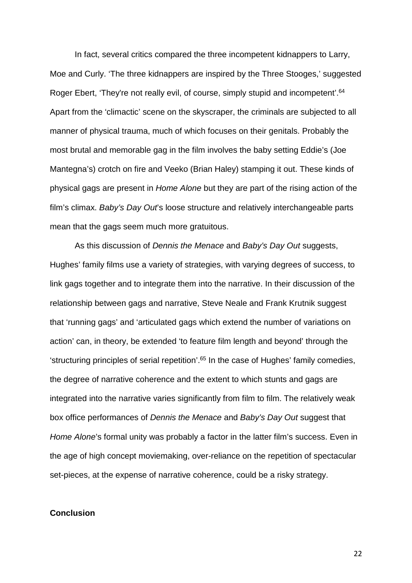In fact, several critics compared the three incompetent kidnappers to Larry, Moe and Curly. 'The three kidnappers are inspired by the Three Stooges,' suggested Roger Ebert, 'They're not really evil, of course, simply stupid and incompetent'.<sup>64</sup> Apart from the 'climactic' scene on the skyscraper, the criminals are subjected to all manner of physical trauma, much of which focuses on their genitals. Probably the most brutal and memorable gag in the film involves the baby setting Eddie's (Joe Mantegna's) crotch on fire and Veeko (Brian Haley) stamping it out. These kinds of physical gags are present in *Home Alone* but they are part of the rising action of the film's climax. *Baby's Day Out*'s loose structure and relatively interchangeable parts mean that the gags seem much more gratuitous.

As this discussion of *Dennis the Menace* and *Baby's Day Out* suggests, Hughes' family films use a variety of strategies, with varying degrees of success, to link gags together and to integrate them into the narrative. In their discussion of the relationship between gags and narrative, Steve Neale and Frank Krutnik suggest that 'running gags' and 'articulated gags which extend the number of variations on action' can, in theory, be extended 'to feature film length and beyond' through the 'structuring principles of serial repetition'.65 In the case of Hughes' family comedies, the degree of narrative coherence and the extent to which stunts and gags are integrated into the narrative varies significantly from film to film. The relatively weak box office performances of *Dennis the Menace* and *Baby's Day Out* suggest that *Home Alone*'s formal unity was probably a factor in the latter film's success. Even in the age of high concept moviemaking, over-reliance on the repetition of spectacular set-pieces, at the expense of narrative coherence, could be a risky strategy.

### **Conclusion**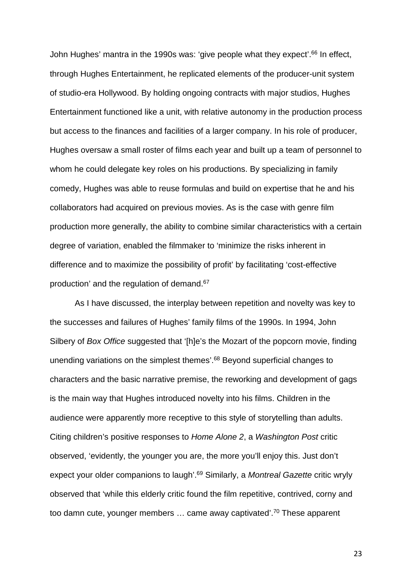John Hughes' mantra in the 1990s was: 'give people what they expect'.<sup>66</sup> In effect, through Hughes Entertainment, he replicated elements of the producer-unit system of studio-era Hollywood. By holding ongoing contracts with major studios, Hughes Entertainment functioned like a unit, with relative autonomy in the production process but access to the finances and facilities of a larger company. In his role of producer, Hughes oversaw a small roster of films each year and built up a team of personnel to whom he could delegate key roles on his productions. By specializing in family comedy, Hughes was able to reuse formulas and build on expertise that he and his collaborators had acquired on previous movies. As is the case with genre film production more generally, the ability to combine similar characteristics with a certain degree of variation, enabled the filmmaker to 'minimize the risks inherent in difference and to maximize the possibility of profit' by facilitating 'cost-effective production' and the regulation of demand.67

As I have discussed, the interplay between repetition and novelty was key to the successes and failures of Hughes' family films of the 1990s. In 1994, John Silbery of *Box Office* suggested that '[h]e's the Mozart of the popcorn movie, finding unending variations on the simplest themes'.<sup>68</sup> Beyond superficial changes to characters and the basic narrative premise, the reworking and development of gags is the main way that Hughes introduced novelty into his films. Children in the audience were apparently more receptive to this style of storytelling than adults. Citing children's positive responses to *Home Alone 2*, a *Washington Post* critic observed, 'evidently, the younger you are, the more you'll enjoy this. Just don't expect your older companions to laugh'.69 Similarly, a *Montreal Gazette* critic wryly observed that 'while this elderly critic found the film repetitive, contrived, corny and too damn cute, younger members … came away captivated'.70 These apparent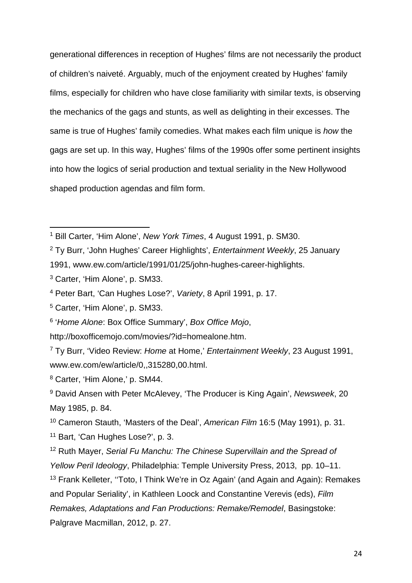generational differences in reception of Hughes' films are not necessarily the product of children's naiveté. Arguably, much of the enjoyment created by Hughes' family films, especially for children who have close familiarity with similar texts, is observing the mechanics of the gags and stunts, as well as delighting in their excesses. The same is true of Hughes' family comedies. What makes each film unique is *how* the gags are set up. In this way, Hughes' films of the 1990s offer some pertinent insights into how the logics of serial production and textual seriality in the New Hollywood shaped production agendas and film form.

<sup>2</sup> Ty Burr, 'John Hughes' Career Highlights', *Entertainment Weekly*, 25 January

<sup>1</sup> Bill Carter, 'Him Alone', *New York Times*, 4 August 1991, p. SM30.  $\overline{a}$ 

<sup>1991,</sup> www.ew.com/article/1991/01/25/john-hughes-career-highlights.

<sup>3</sup> Carter, 'Him Alone', p. SM33.

<sup>4</sup> Peter Bart, 'Can Hughes Lose?', *Variety*, 8 April 1991, p. 17.

<sup>5</sup> Carter, 'Him Alone', p. SM33.

<sup>6</sup> '*Home Alone*: Box Office Summary', *Box Office Mojo*,

http://boxofficemojo.com/movies/?id=homealone.htm.

<sup>7</sup> Ty Burr, 'Video Review: *Home* at Home,' *Entertainment Weekly*, 23 August 1991, www.ew.com/ew/article/0,,315280,00.html.

<sup>8</sup> Carter, 'Him Alone,' p. SM44.

<sup>9</sup> David Ansen with Peter McAlevey, 'The Producer is King Again', *Newsweek*, 20 May 1985, p. 84.

<sup>10</sup> Cameron Stauth, 'Masters of the Deal', *American Film* 16:5 (May 1991), p. 31.

<sup>11</sup> Bart, 'Can Hughes Lose?', p. 3.

<sup>12</sup> Ruth Mayer, *Serial Fu Manchu: The Chinese Supervillain and the Spread of Yellow Peril Ideology*, Philadelphia: Temple University Press, 2013, pp. 10–11.

<sup>&</sup>lt;sup>13</sup> Frank Kelleter, "Toto, I Think We're in Oz Again' (and Again and Again): Remakes and Popular Seriality', in Kathleen Loock and Constantine Verevis (eds), *Film Remakes, Adaptations and Fan Productions: Remake/Remodel*, Basingstoke: Palgrave Macmillan, 2012, p. 27.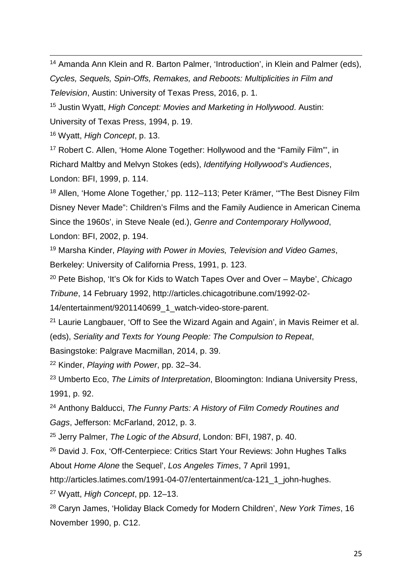$\overline{a}$ <sup>14</sup> Amanda Ann Klein and R. Barton Palmer, 'Introduction', in Klein and Palmer (eds), *Cycles, Sequels, Spin-Offs, Remakes, and Reboots: Multiplicities in Film and Television*, Austin: University of Texas Press, 2016, p. 1.

<sup>15</sup> Justin Wyatt, *High Concept: Movies and Marketing in Hollywood*. Austin: University of Texas Press, 1994, p. 19.

<sup>16</sup> Wyatt, *High Concept*, p. 13.

<sup>17</sup> Robert C. Allen, 'Home Alone Together: Hollywood and the "Family Film"', in Richard Maltby and Melvyn Stokes (eds), *Identifying Hollywood's Audiences*, London: BFI, 1999, p. 114.

<sup>18</sup> Allen, 'Home Alone Together,' pp. 112–113; Peter Krämer, '"The Best Disney Film Disney Never Made": Children's Films and the Family Audience in American Cinema Since the 1960s', in Steve Neale (ed.), *Genre and Contemporary Hollywood*, London: BFI, 2002, p. 194.

<sup>19</sup> Marsha Kinder, *Playing with Power in Movies, Television and Video Games*, Berkeley: University of California Press, 1991, p. 123.

<sup>20</sup> Pete Bishop, 'It's Ok for Kids to Watch Tapes Over and Over – Maybe', *Chicago Tribune*, 14 February 1992, http://articles.chicagotribune.com/1992-02-

14/entertainment/9201140699\_1\_watch-video-store-parent.

<sup>21</sup> Laurie Langbauer, 'Off to See the Wizard Again and Again', in Mavis Reimer et al. (eds), *Seriality and Texts for Young People: The Compulsion to Repeat*,

Basingstoke: Palgrave Macmillan, 2014, p. 39.

<sup>22</sup> Kinder, *Playing with Power*, pp. 32–34.

<sup>23</sup> Umberto Eco, *The Limits of Interpretation*, Bloomington: Indiana University Press, 1991, p. 92.

<sup>24</sup> Anthony Balducci, *The Funny Parts: A History of Film Comedy Routines and Gags*, Jefferson: McFarland, 2012, p. 3.

<sup>25</sup> Jerry Palmer, *The Logic of the Absurd*, London: BFI, 1987, p. 40.

<sup>26</sup> David J. Fox, 'Off-Centerpiece: Critics Start Your Reviews: John Hughes Talks About *Home Alone* the Sequel', *Los Angeles Times*, 7 April 1991,

http://articles.latimes.com/1991-04-07/entertainment/ca-121\_1\_john-hughes.

<sup>27</sup> Wyatt, *High Concept*, pp. 12–13.

<sup>28</sup> Caryn James, 'Holiday Black Comedy for Modern Children', *New York Times*, 16 November 1990, p. C12.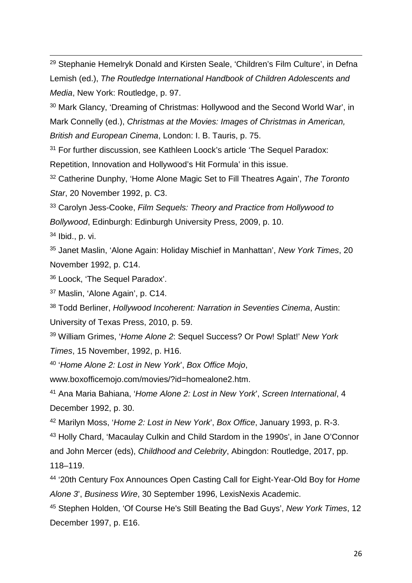$\overline{a}$ <sup>29</sup> Stephanie Hemelryk Donald and Kirsten Seale, 'Children's Film Culture', in Defna Lemish (ed.), *The Routledge International Handbook of Children Adolescents and Media*, New York: Routledge, p. 97.

<sup>30</sup> Mark Glancy, 'Dreaming of Christmas: Hollywood and the Second World War', in Mark Connelly (ed.), *Christmas at the Movies: Images of Christmas in American, British and European Cinema*, London: I. B. Tauris, p. 75.

<sup>31</sup> For further discussion, see Kathleen Loock's article 'The Sequel Paradox: Repetition, Innovation and Hollywood's Hit Formula' in this issue.

<sup>32</sup> Catherine Dunphy, 'Home Alone Magic Set to Fill Theatres Again', *The Toronto Star*, 20 November 1992, p. C3.

<sup>33</sup> Carolyn Jess-Cooke, *Film Sequels: Theory and Practice from Hollywood to Bollywood*, Edinburgh: Edinburgh University Press, 2009, p. 10.

<sup>34</sup> Ibid., p. vi.

<sup>35</sup> Janet Maslin, 'Alone Again: Holiday Mischief in Manhattan', *New York Times*, 20 November 1992, p. C14.

<sup>36</sup> Loock, 'The Sequel Paradox'.

<sup>37</sup> Maslin, 'Alone Again', p. C14.

<sup>38</sup> Todd Berliner, *Hollywood Incoherent: Narration in Seventies Cinema*, Austin: University of Texas Press, 2010, p. 59.

<sup>39</sup> William Grimes, '*Home Alone 2*: Sequel Success? Or Pow! Splat!' *New York Times*, 15 November, 1992, p. H16.

<sup>40</sup> '*Home Alone 2: Lost in New York*', *Box Office Mojo*,

www.boxofficemojo.com/movies/?id=homealone2.htm.

<sup>41</sup> Ana Maria Bahiana, '*Home Alone 2: Lost in New York*', *Screen International*, 4 December 1992, p. 30.

<sup>42</sup> Marilyn Moss, '*Home 2: Lost in New York*', *Box Office*, January 1993, p. R-3.

<sup>43</sup> Holly Chard, 'Macaulay Culkin and Child Stardom in the 1990s', in Jane O'Connor and John Mercer (eds), *Childhood and Celebrity*, Abingdon: Routledge, 2017, pp. 118–119.

<sup>44</sup> '20th Century Fox Announces Open Casting Call for Eight-Year-Old Boy for *Home Alone 3*', *Business Wire*, 30 September 1996, LexisNexis Academic.

<sup>45</sup> Stephen Holden, 'Of Course He's Still Beating the Bad Guys', *New York Times*, 12 December 1997, p. E16.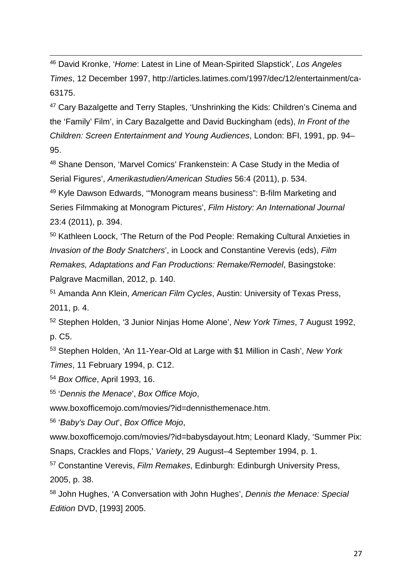$\overline{a}$ <sup>46</sup> David Kronke, '*Home*: Latest in Line of Mean-Spirited Slapstick', *Los Angeles Times*, 12 December 1997, http://articles.latimes.com/1997/dec/12/entertainment/ca-63175.

<sup>47</sup> Cary Bazalgette and Terry Staples, 'Unshrinking the Kids: Children's Cinema and the 'Family' Film', in Cary Bazalgette and David Buckingham (eds), *In Front of the Children: Screen Entertainment and Young Audiences*, London: BFI, 1991, pp. 94– 95.

<sup>48</sup> Shane Denson, 'Marvel Comics' Frankenstein: A Case Study in the Media of Serial Figures', *Amerikastudien/American Studies* 56:4 (2011), p. 534.

<sup>49</sup> Kyle Dawson Edwards, '"Monogram means business": B-film Marketing and Series Filmmaking at Monogram Pictures', *Film History: An International Journal* 23:4 (2011), p. 394.

<sup>50</sup> Kathleen Loock, 'The Return of the Pod People: Remaking Cultural Anxieties in *Invasion of the Body Snatchers*', in Loock and Constantine Verevis (eds), *Film Remakes, Adaptations and Fan Productions: Remake/Remodel*, Basingstoke: Palgrave Macmillan, 2012, p. 140.

<sup>51</sup> Amanda Ann Klein, *American Film Cycles*, Austin: University of Texas Press, 2011, p. 4.

<sup>52</sup> Stephen Holden, '3 Junior Ninjas Home Alone', *New York Times*, 7 August 1992, p. C5.

<sup>53</sup> Stephen Holden, 'An 11-Year-Old at Large with \$1 Million in Cash', *New York Times*, 11 February 1994, p. C12.

<sup>54</sup> *Box Office*, April 1993, 16.

<sup>55</sup> '*Dennis the Menace*', *Box Office Mojo*,

www.boxofficemojo.com/movies/?id=dennisthemenace.htm.

<sup>56</sup> '*Baby's Day Out*', *Box Office Mojo*,

www.boxofficemojo.com/movies/?id=babysdayout.htm; Leonard Klady, 'Summer Pix: Snaps, Crackles and Flops,' *Variety*, 29 August–4 September 1994, p. 1.

<sup>57</sup> Constantine Verevis, *Film Remakes*, Edinburgh: Edinburgh University Press, 2005, p. 38.

<sup>58</sup> John Hughes, 'A Conversation with John Hughes', *Dennis the Menace: Special Edition* DVD, [1993] 2005.